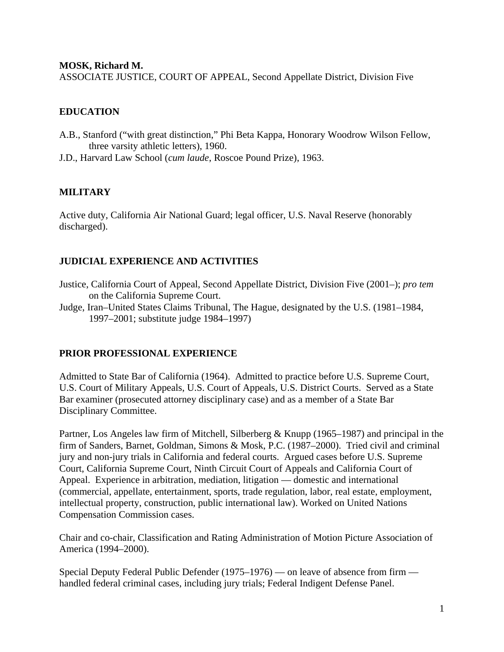#### **MOSK, Richard M.**

ASSOCIATE JUSTICE, COURT OF APPEAL, Second Appellate District, Division Five

# **EDUCATION**

- A.B., Stanford ("with great distinction," Phi Beta Kappa, Honorary Woodrow Wilson Fellow, three varsity athletic letters), 1960.
- J.D., Harvard Law School (*cum laude*, Roscoe Pound Prize), 1963.

## **MILITARY**

Active duty, California Air National Guard; legal officer, U.S. Naval Reserve (honorably discharged).

#### **JUDICIAL EXPERIENCE AND ACTIVITIES**

- Justice, California Court of Appeal, Second Appellate District, Division Five (2001–); *pro tem* on the California Supreme Court.
- Judge, Iran–United States Claims Tribunal, The Hague, designated by the U.S. (1981–1984, 1997–2001; substitute judge 1984–1997)

## **PRIOR PROFESSIONAL EXPERIENCE**

Admitted to State Bar of California (1964). Admitted to practice before U.S. Supreme Court, U.S. Court of Military Appeals, U.S. Court of Appeals, U.S. District Courts. Served as a State Bar examiner (prosecuted attorney disciplinary case) and as a member of a State Bar Disciplinary Committee.

Partner, Los Angeles law firm of Mitchell, Silberberg & Knupp (1965–1987) and principal in the firm of Sanders, Barnet, Goldman, Simons & Mosk, P.C. (1987–2000). Tried civil and criminal jury and non-jury trials in California and federal courts. Argued cases before U.S. Supreme Court, California Supreme Court, Ninth Circuit Court of Appeals and California Court of Appeal. Experience in arbitration, mediation, litigation — domestic and international (commercial, appellate, entertainment, sports, trade regulation, labor, real estate, employment, intellectual property, construction, public international law). Worked on United Nations Compensation Commission cases.

Chair and co-chair, Classification and Rating Administration of Motion Picture Association of America (1994–2000).

Special Deputy Federal Public Defender (1975–1976) — on leave of absence from firm handled federal criminal cases, including jury trials; Federal Indigent Defense Panel.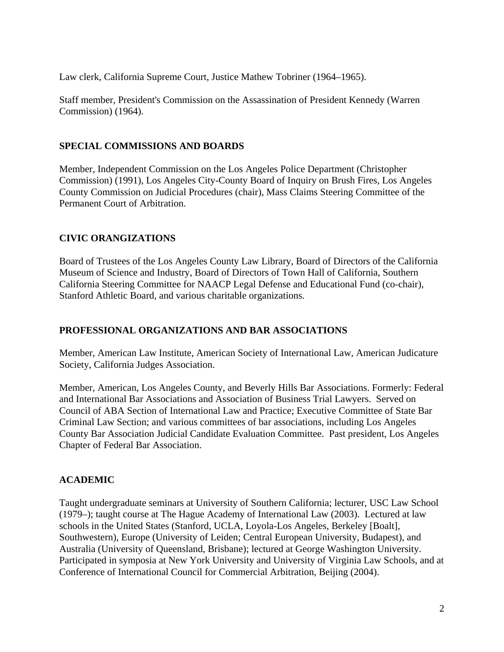Law clerk, California Supreme Court, Justice Mathew Tobriner (1964–1965).

Staff member, President's Commission on the Assassination of President Kennedy (Warren Commission) (1964).

#### **SPECIAL COMMISSIONS AND BOARDS**

Member, Independent Commission on the Los Angeles Police Department (Christopher Commission) (1991), Los Angeles City-County Board of Inquiry on Brush Fires, Los Angeles County Commission on Judicial Procedures (chair), Mass Claims Steering Committee of the Permanent Court of Arbitration.

## **CIVIC ORANGIZATIONS**

Board of Trustees of the Los Angeles County Law Library, Board of Directors of the California Museum of Science and Industry, Board of Directors of Town Hall of California, Southern California Steering Committee for NAACP Legal Defense and Educational Fund (co-chair), Stanford Athletic Board, and various charitable organizations.

## **PROFESSIONAL ORGANIZATIONS AND BAR ASSOCIATIONS**

Member, American Law Institute, American Society of International Law, American Judicature Society, California Judges Association.

Member, American, Los Angeles County, and Beverly Hills Bar Associations. Formerly: Federal and International Bar Associations and Association of Business Trial Lawyers. Served on Council of ABA Section of International Law and Practice; Executive Committee of State Bar Criminal Law Section; and various committees of bar associations, including Los Angeles County Bar Association Judicial Candidate Evaluation Committee. Past president, Los Angeles Chapter of Federal Bar Association.

## **ACADEMIC**

Taught undergraduate seminars at University of Southern California; lecturer, USC Law School (1979–); taught course at The Hague Academy of International Law (2003). Lectured at law schools in the United States (Stanford, UCLA, Loyola-Los Angeles, Berkeley [Boalt], Southwestern), Europe (University of Leiden; Central European University, Budapest), and Australia (University of Queensland, Brisbane); lectured at George Washington University. Participated in symposia at New York University and University of Virginia Law Schools, and at Conference of International Council for Commercial Arbitration, Beijing (2004).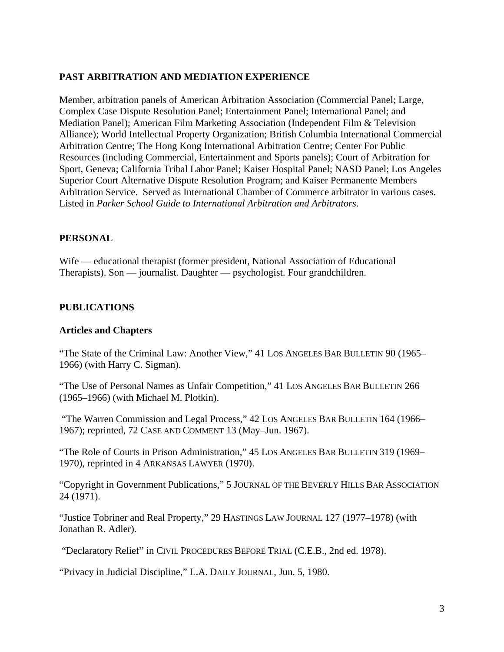# **PAST ARBITRATION AND MEDIATION EXPERIENCE**

Member, arbitration panels of American Arbitration Association (Commercial Panel; Large, Complex Case Dispute Resolution Panel; Entertainment Panel; International Panel; and Mediation Panel); American Film Marketing Association (Independent Film & Television Alliance); World Intellectual Property Organization; British Columbia International Commercial Arbitration Centre; The Hong Kong International Arbitration Centre; Center For Public Resources (including Commercial, Entertainment and Sports panels); Court of Arbitration for Sport, Geneva; California Tribal Labor Panel; Kaiser Hospital Panel; NASD Panel; Los Angeles Superior Court Alternative Dispute Resolution Program; and Kaiser Permanente Members Arbitration Service. Served as International Chamber of Commerce arbitrator in various cases. Listed in *Parker School Guide to International Arbitration and Arbitrators*.

## **PERSONAL**

Wife — educational therapist (former president, National Association of Educational Therapists). Son — journalist. Daughter — psychologist. Four grandchildren.

#### **PUBLICATIONS**

#### **Articles and Chapters**

"The State of the Criminal Law: Another View," 41 LOS ANGELES BAR BULLETIN 90 (1965– 1966) (with Harry C. Sigman).

"The Use of Personal Names as Unfair Competition," 41 LOS ANGELES BAR BULLETIN 266 (1965–1966) (with Michael M. Plotkin).

 "The Warren Commission and Legal Process," 42 LOS ANGELES BAR BULLETIN 164 (1966– 1967); reprinted, 72 CASE AND COMMENT 13 (May–Jun. 1967).

"The Role of Courts in Prison Administration," 45 LOS ANGELES BAR BULLETIN 319 (1969– 1970), reprinted in 4 ARKANSAS LAWYER (1970).

"Copyright in Government Publications," 5 JOURNAL OF THE BEVERLY HILLS BAR ASSOCIATION 24 (1971).

"Justice Tobriner and Real Property," 29 HASTINGS LAW JOURNAL 127 (1977–1978) (with Jonathan R. Adler).

"Declaratory Relief" in CIVIL PROCEDURES BEFORE TRIAL (C.E.B., 2nd ed. 1978).

"Privacy in Judicial Discipline," L.A. DAILY JOURNAL, Jun. 5, 1980.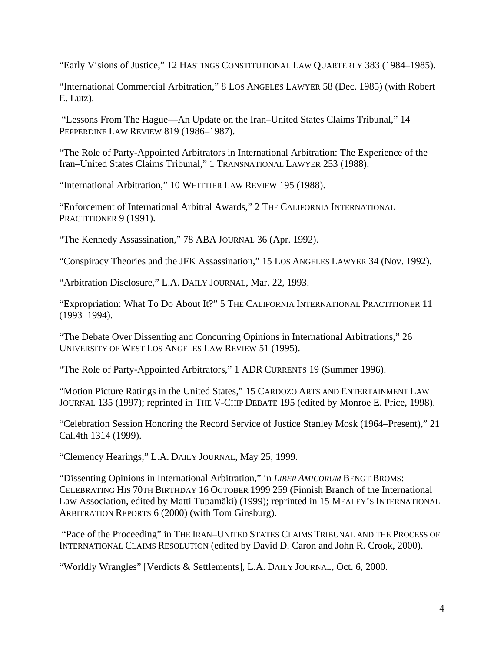"Early Visions of Justice," 12 HASTINGS CONSTITUTIONAL LAW QUARTERLY 383 (1984–1985).

"International Commercial Arbitration," 8 LOS ANGELES LAWYER 58 (Dec. 1985) (with Robert E. Lutz).

 "Lessons From The Hague—An Update on the Iran–United States Claims Tribunal," 14 PEPPERDINE LAW REVIEW 819 (1986-1987).

"The Role of Party-Appointed Arbitrators in International Arbitration: The Experience of the Iran–United States Claims Tribunal," 1 TRANSNATIONAL LAWYER 253 (1988).

"International Arbitration," 10 WHITTIER LAW REVIEW 195 (1988).

"Enforcement of International Arbitral Awards," 2 THE CALIFORNIA INTERNATIONAL PRACTITIONER 9 (1991).

"The Kennedy Assassination," 78 ABA JOURNAL 36 (Apr. 1992).

"Conspiracy Theories and the JFK Assassination," 15 LOS ANGELES LAWYER 34 (Nov. 1992).

"Arbitration Disclosure," L.A. DAILY JOURNAL, Mar. 22, 1993.

"Expropriation: What To Do About It?" 5 THE CALIFORNIA INTERNATIONAL PRACTITIONER 11 (1993–1994).

"The Debate Over Dissenting and Concurring Opinions in International Arbitrations," 26 UNIVERSITY OF WEST LOS ANGELES LAW REVIEW 51 (1995).

"The Role of Party-Appointed Arbitrators," 1 ADR CURRENTS 19 (Summer 1996).

"Motion Picture Ratings in the United States," 15 CARDOZO ARTS AND ENTERTAINMENT LAW JOURNAL 135 (1997); reprinted in THE V-CHIP DEBATE 195 (edited by Monroe E. Price, 1998).

"Celebration Session Honoring the Record Service of Justice Stanley Mosk (1964–Present)," 21 Cal.4th 1314 (1999).

"Clemency Hearings," L.A. DAILY JOURNAL, May 25, 1999.

"Dissenting Opinions in International Arbitration," in *LIBER AMICORUM* BENGT BROMS: CELEBRATING HIS 70TH BIRTHDAY 16 OCTOBER 1999 259 (Finnish Branch of the International Law Association, edited by Matti Tupamäki) (1999); reprinted in 15 MEALEY'S INTERNATIONAL ARBITRATION REPORTS 6 (2000) (with Tom Ginsburg).

 "Pace of the Proceeding" in THE IRAN–UNITED STATES CLAIMS TRIBUNAL AND THE PROCESS OF INTERNATIONAL CLAIMS RESOLUTION (edited by David D. Caron and John R. Crook, 2000).

"Worldly Wrangles" [Verdicts & Settlements], L.A. DAILY JOURNAL, Oct. 6, 2000.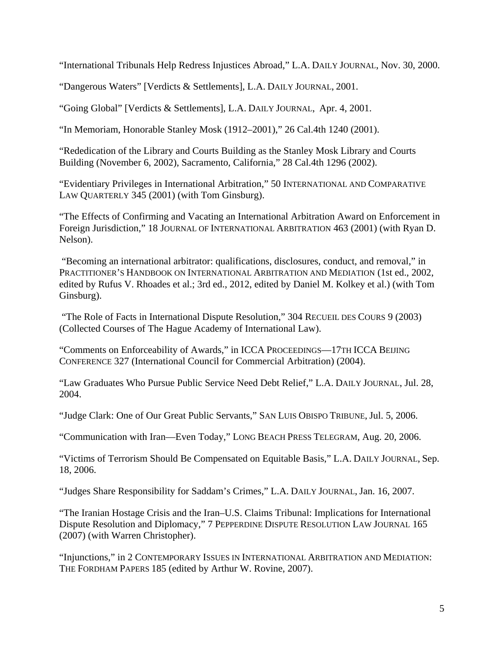"International Tribunals Help Redress Injustices Abroad," L.A. DAILY JOURNAL, Nov. 30, 2000.

"Dangerous Waters" [Verdicts & Settlements], L.A. DAILY JOURNAL, 2001.

"Going Global" [Verdicts & Settlements], L.A. DAILY JOURNAL, Apr. 4, 2001.

"In Memoriam, Honorable Stanley Mosk (1912–2001)," 26 Cal.4th 1240 (2001).

"Rededication of the Library and Courts Building as the Stanley Mosk Library and Courts Building (November 6, 2002), Sacramento, California," 28 Cal.4th 1296 (2002).

"Evidentiary Privileges in International Arbitration," 50 INTERNATIONAL AND COMPARATIVE LAW QUARTERLY 345 (2001) (with Tom Ginsburg).

"The Effects of Confirming and Vacating an International Arbitration Award on Enforcement in Foreign Jurisdiction," 18 JOURNAL OF INTERNATIONAL ARBITRATION 463 (2001) (with Ryan D. Nelson).

 "Becoming an international arbitrator: qualifications, disclosures, conduct, and removal," in PRACTITIONER'S HANDBOOK ON INTERNATIONAL ARBITRATION AND MEDIATION (1st ed., 2002, edited by Rufus V. Rhoades et al.; 3rd ed., 2012, edited by Daniel M. Kolkey et al.) (with Tom Ginsburg).

 "The Role of Facts in International Dispute Resolution," 304 RECUEIL DES COURS 9 (2003) (Collected Courses of The Hague Academy of International Law).

"Comments on Enforceability of Awards," in ICCA PROCEEDINGS—17TH ICCA BEIJING CONFERENCE 327 (International Council for Commercial Arbitration) (2004).

"Law Graduates Who Pursue Public Service Need Debt Relief," L.A. DAILY JOURNAL, Jul. 28, 2004.

"Judge Clark: One of Our Great Public Servants," SAN LUIS OBISPO TRIBUNE, Jul. 5, 2006.

"Communication with Iran—Even Today," LONG BEACH PRESS TELEGRAM, Aug. 20, 2006.

"Victims of Terrorism Should Be Compensated on Equitable Basis," L.A. DAILY JOURNAL, Sep. 18, 2006.

"Judges Share Responsibility for Saddam's Crimes," L.A. DAILY JOURNAL, Jan. 16, 2007.

"The Iranian Hostage Crisis and the Iran–U.S. Claims Tribunal: Implications for International Dispute Resolution and Diplomacy," 7 PEPPERDINE DISPUTE RESOLUTION LAW JOURNAL 165 (2007) (with Warren Christopher).

"Injunctions," in 2 CONTEMPORARY ISSUES IN INTERNATIONAL ARBITRATION AND MEDIATION: THE FORDHAM PAPERS 185 (edited by Arthur W. Rovine, 2007).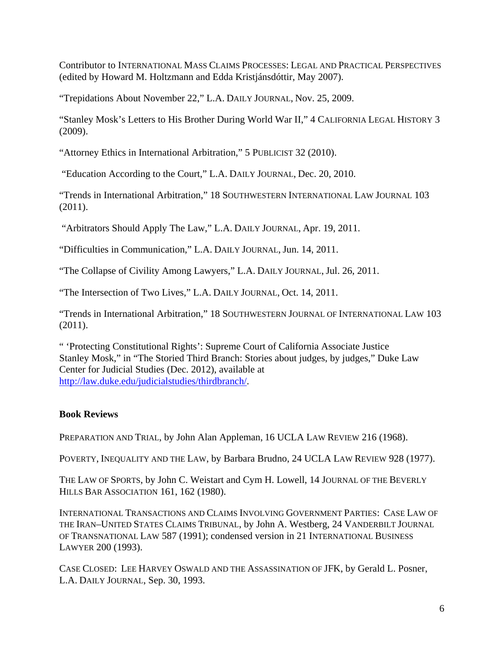Contributor to INTERNATIONAL MASS CLAIMS PROCESSES: LEGAL AND PRACTICAL PERSPECTIVES (edited by Howard M. Holtzmann and Edda Kristjánsdóttir, May 2007).

"Trepidations About November 22," L.A. DAILY JOURNAL, Nov. 25, 2009.

"Stanley Mosk's Letters to His Brother During World War II," 4 CALIFORNIA LEGAL HISTORY 3 (2009).

"Attorney Ethics in International Arbitration," 5 PUBLICIST 32 (2010).

"Education According to the Court," L.A. DAILY JOURNAL, Dec. 20, 2010.

"Trends in International Arbitration," 18 SOUTHWESTERN INTERNATIONAL LAW JOURNAL 103 (2011).

"Arbitrators Should Apply The Law," L.A. DAILY JOURNAL, Apr. 19, 2011.

"Difficulties in Communication," L.A. DAILY JOURNAL, Jun. 14, 2011.

"The Collapse of Civility Among Lawyers," L.A. DAILY JOURNAL, Jul. 26, 2011.

"The Intersection of Two Lives," L.A. DAILY JOURNAL, Oct. 14, 2011.

"Trends in International Arbitration," 18 SOUTHWESTERN JOURNAL OF INTERNATIONAL LAW 103 (2011).

" 'Protecting Constitutional Rights': Supreme Court of California Associate Justice Stanley Mosk," in "The Storied Third Branch: Stories about judges, by judges," Duke Law Center for Judicial Studies (Dec. 2012), available at http://law.duke.edu/judicialstudies/thirdbranch/.

# **Book Reviews**

PREPARATION AND TRIAL, by John Alan Appleman, 16 UCLA LAW REVIEW 216 (1968).

POVERTY, INEQUALITY AND THE LAW, by Barbara Brudno, 24 UCLA LAW REVIEW 928 (1977).

THE LAW OF SPORTS, by John C. Weistart and Cym H. Lowell, 14 JOURNAL OF THE BEVERLY HILLS BAR ASSOCIATION 161, 162 (1980).

INTERNATIONAL TRANSACTIONS AND CLAIMS INVOLVING GOVERNMENT PARTIES: CASE LAW OF THE IRAN–UNITED STATES CLAIMS TRIBUNAL, by John A. Westberg, 24 VANDERBILT JOURNAL OF TRANSNATIONAL LAW 587 (1991); condensed version in 21 INTERNATIONAL BUSINESS LAWYER 200 (1993).

CASE CLOSED: LEE HARVEY OSWALD AND THE ASSASSINATION OF JFK, by Gerald L. Posner, L.A. DAILY JOURNAL, Sep. 30, 1993.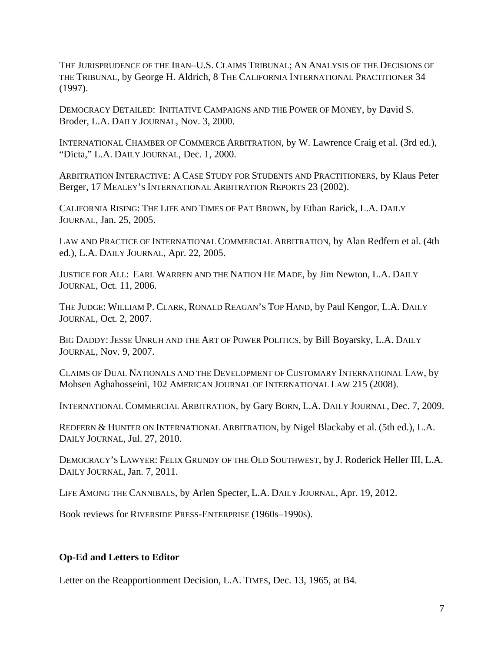THE JURISPRUDENCE OF THE IRAN–U.S. CLAIMS TRIBUNAL; AN ANALYSIS OF THE DECISIONS OF THE TRIBUNAL, by George H. Aldrich, 8 THE CALIFORNIA INTERNATIONAL PRACTITIONER 34 (1997).

DEMOCRACY DETAILED: INITIATIVE CAMPAIGNS AND THE POWER OF MONEY, by David S. Broder, L.A. DAILY JOURNAL, Nov. 3, 2000.

INTERNATIONAL CHAMBER OF COMMERCE ARBITRATION, by W. Lawrence Craig et al. (3rd ed.), "Dicta," L.A. DAILY JOURNAL, Dec. 1, 2000.

ARBITRATION INTERACTIVE: A CASE STUDY FOR STUDENTS AND PRACTITIONERS, by Klaus Peter Berger, 17 MEALEY'S INTERNATIONAL ARBITRATION REPORTS 23 (2002).

CALIFORNIA RISING: THE LIFE AND TIMES OF PAT BROWN, by Ethan Rarick, L.A. DAILY JOURNAL, Jan. 25, 2005.

LAW AND PRACTICE OF INTERNATIONAL COMMERCIAL ARBITRATION, by Alan Redfern et al. (4th ed.), L.A. DAILY JOURNAL, Apr. 22, 2005.

JUSTICE FOR ALL: EARL WARREN AND THE NATION HE MADE, by Jim Newton, L.A. DAILY JOURNAL, Oct. 11, 2006.

THE JUDGE: WILLIAM P. CLARK, RONALD REAGAN'S TOP HAND, by Paul Kengor, L.A. DAILY JOURNAL, Oct. 2, 2007.

BIG DADDY: JESSE UNRUH AND THE ART OF POWER POLITICS, by Bill Boyarsky, L.A. DAILY JOURNAL, Nov. 9, 2007.

CLAIMS OF DUAL NATIONALS AND THE DEVELOPMENT OF CUSTOMARY INTERNATIONAL LAW, by Mohsen Aghahosseini, 102 AMERICAN JOURNAL OF INTERNATIONAL LAW 215 (2008).

INTERNATIONAL COMMERCIAL ARBITRATION, by Gary BORN, L.A. DAILY JOURNAL, Dec. 7, 2009.

REDFERN & HUNTER ON INTERNATIONAL ARBITRATION, by Nigel Blackaby et al. (5th ed.), L.A. DAILY JOURNAL, Jul. 27, 2010.

DEMOCRACY'S LAWYER: FELIX GRUNDY OF THE OLD SOUTHWEST, by J. Roderick Heller III, L.A. DAILY JOURNAL, Jan. 7, 2011.

LIFE AMONG THE CANNIBALS, by Arlen Specter, L.A. DAILY JOURNAL, Apr. 19, 2012.

Book reviews for RIVERSIDE PRESS-ENTERPRISE (1960s–1990s).

## **Op-Ed and Letters to Editor**

Letter on the Reapportionment Decision, L.A. TIMES, Dec. 13, 1965, at B4.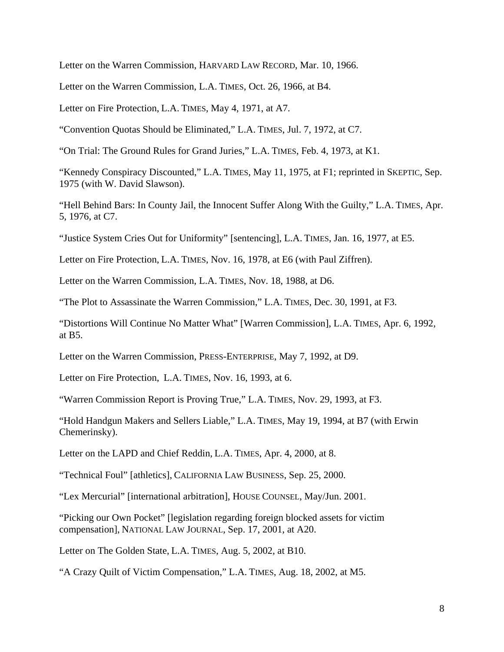Letter on the Warren Commission, HARVARD LAW RECORD, Mar. 10, 1966.

Letter on the Warren Commission, L.A. TIMES, Oct. 26, 1966, at B4.

Letter on Fire Protection, L.A. TIMES, May 4, 1971, at A7.

"Convention Quotas Should be Eliminated," L.A. TIMES, Jul. 7, 1972, at C7.

"On Trial: The Ground Rules for Grand Juries," L.A. TIMES, Feb. 4, 1973, at K1.

"Kennedy Conspiracy Discounted," L.A. TIMES, May 11, 1975, at F1; reprinted in SKEPTIC, Sep. 1975 (with W. David Slawson).

"Hell Behind Bars: In County Jail, the Innocent Suffer Along With the Guilty," L.A. TIMES, Apr. 5, 1976, at C7.

"Justice System Cries Out for Uniformity" [sentencing], L.A. TIMES, Jan. 16, 1977, at E5.

Letter on Fire Protection, L.A. TIMES, Nov. 16, 1978, at E6 (with Paul Ziffren).

Letter on the Warren Commission, L.A. TIMES, Nov. 18, 1988, at D6.

"The Plot to Assassinate the Warren Commission," L.A. TIMES, Dec. 30, 1991, at F3.

"Distortions Will Continue No Matter What" [Warren Commission], L.A. TIMES, Apr. 6, 1992, at B5.

Letter on the Warren Commission, PRESS-ENTERPRISE, May 7, 1992, at D9.

Letter on Fire Protection, L.A. TIMES, Nov. 16, 1993, at 6.

"Warren Commission Report is Proving True," L.A. TIMES, Nov. 29, 1993, at F3.

"Hold Handgun Makers and Sellers Liable," L.A. TIMES, May 19, 1994, at B7 (with Erwin Chemerinsky).

Letter on the LAPD and Chief Reddin, L.A. TIMES, Apr. 4, 2000, at 8.

"Technical Foul" [athletics], CALIFORNIA LAW BUSINESS, Sep. 25, 2000.

"Lex Mercurial" [international arbitration], HOUSE COUNSEL, May/Jun. 2001.

"Picking our Own Pocket" [legislation regarding foreign blocked assets for victim compensation], NATIONAL LAW JOURNAL, Sep. 17, 2001, at A20.

Letter on The Golden State, L.A. TIMES, Aug. 5, 2002, at B10.

"A Crazy Quilt of Victim Compensation," L.A. TIMES, Aug. 18, 2002, at M5.